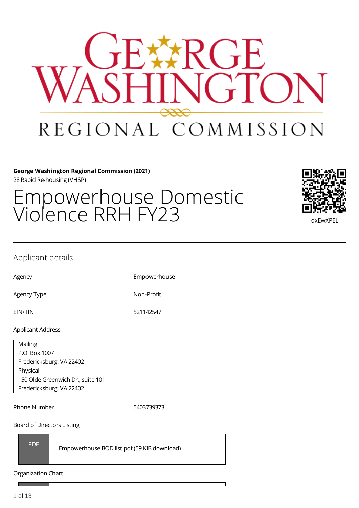

## **George Washington Regional Commission (2021)** 28 Rapid Re-housing (VHSP)

# Empowerhouse Domestic



# Applicant details

Agency **Empowerhouse** 

Agency Type  $\vert$  Non-Profit

EIN/TIN 521142547

Applicant Address

Mailing P.O. Box 1007 Fredericksburg, VA 22402 Physical 150 Olde Greenwich Dr., suite 101 Fredericksburg, VA 22402

Phone Number 2008 2009 2010

Board of Directors Listing

PDF [Empowerhouse](https://gwregion.grantplatform.com/r/file/9LId2qi4YmXIvg8z) BOD list.pdf (59 KiB download)

Organization Chart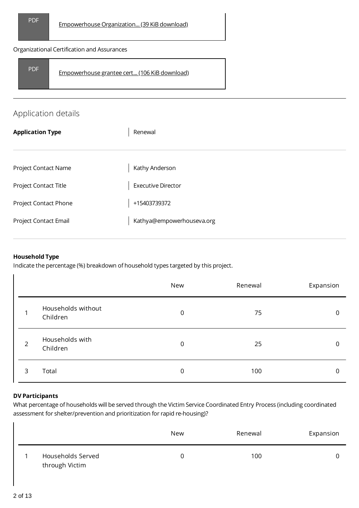#### Organizational Certification and Assurances

| <b>PDF</b> | Empowerhouse grantee cert (106 KiB download) |  |
|------------|----------------------------------------------|--|
|------------|----------------------------------------------|--|

# Application details

| <b>Application Type</b> | Renewal                   |
|-------------------------|---------------------------|
|                         |                           |
| Project Contact Name    | Kathy Anderson            |
| Project Contact Title   | <b>Executive Director</b> |
| Project Contact Phone   | +15403739372              |
| Project Contact Email   | Kathya@empowerhouseva.org |
|                         |                           |

### **Household Type**

Indicate the percentage (%) breakdown of household types targeted by this project.

|                |                                | New         | Renewal | Expansion |
|----------------|--------------------------------|-------------|---------|-----------|
| 1              | Households without<br>Children | $\mathbf 0$ | 75      | 0         |
| $\overline{2}$ | Households with<br>Children    | $\mathbf 0$ | 25      | $\Omega$  |
| 3              | Total                          | 0           | 100     | 0         |

#### **DV Participants**

What percentage of households will be served through the Victim Service Coordinated Entry Process (including coordinated assessment for shelter/prevention and prioritization for rapid re-housing)?

|                                     | <b>New</b> | Renewal | Expansion |
|-------------------------------------|------------|---------|-----------|
| Households Served<br>through Victim |            | 100     |           |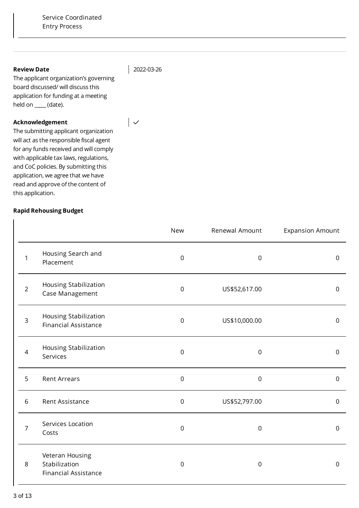#### **Review Date**

2022-03-26

 $\overline{\phantom{a}}$ 

The applicant organization's governing board discussed/ will discuss this application for funding at a meeting held on \_**\_\_\_\_** (date).

#### **Acknowledgement**

The submitting applicant organization will act as the responsible fiscal agent for any funds received and will comply with applicable tax laws, regulations, and CoC policies. By submitting this application, we agree that we have read and approve of the content of this application.

# **Rapid Rehousing Budget**

|                |                                                                 | <b>New</b>       | Renewal Amount   | <b>Expansion Amount</b> |
|----------------|-----------------------------------------------------------------|------------------|------------------|-------------------------|
| 1              | Housing Search and<br>Placement                                 | $\mathsf 0$      | $\mathsf 0$      | $\mathbf 0$             |
| $\overline{2}$ | Housing Stabilization<br>Case Management                        | $\boldsymbol{0}$ | US\$52,617.00    | $\mathbf 0$             |
| $\mathsf{3}$   | Housing Stabilization<br><b>Financial Assistance</b>            | $\mathbf 0$      | US\$10,000.00    | $\mathsf 0$             |
| $\overline{4}$ | Housing Stabilization<br>Services                               | $\mathbf 0$      | $\mathbf 0$      | $\mathbf 0$             |
| 5              | <b>Rent Arrears</b>                                             | $\mathbf 0$      | $\mathbf 0$      | $\mathbf 0$             |
| 6              | Rent Assistance                                                 | $\mathsf 0$      | US\$52,797.00    | $\mathsf 0$             |
| $\overline{7}$ | Services Location<br>Costs                                      | $\mathsf 0$      | $\boldsymbol{0}$ | $\mathbf 0$             |
| 8              | Veteran Housing<br>Stabilization<br><b>Financial Assistance</b> | $\boldsymbol{0}$ | $\boldsymbol{0}$ | 0                       |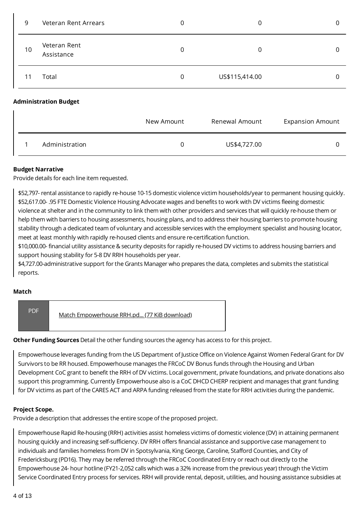| 9  | Veteran Rent Arrears         | 0              | 0              | 0 |
|----|------------------------------|----------------|----------------|---|
| 10 | Veteran Rent<br>Assistance   | $\mathbf 0$    | 0              | 0 |
| 11 | Total                        | $\overline{0}$ | US\$115,414.00 | 0 |
|    | <b>Administration Budget</b> |                |                |   |

|                | New Amount | Renewal Amount | <b>Expansion Amount</b> |
|----------------|------------|----------------|-------------------------|
| Administration |            | US\$4,727.00   |                         |

#### **Budget Narrative**

Provide details for each line item requested.

\$52,797- rental assistance to rapidly re-house 10-15 domestic violence victim households/year to permanent housing quickly. \$52,617.00- .95 FTE Domestic Violence Housing Advocate wages and benefits to work with DV victims fleeing domestic violence at shelter and in the community to link them with other providers and services that will quickly re-house them or help them with barriers to housing assessments, housing plans, and to address their housing barriers to promote housing stability through a dedicated team of voluntary and accessible services with the employment specialist and housing locator, meet at least monthly with rapidly re-housed clients and ensure re-certification function.

\$10,000.00- financial utility assistance & security deposits for rapidly re-housed DV victims to address housing barriers and support housing stability for 5-8 DV RRH households per year.

\$4,727.00-administrative support for the Grants Manager who prepares the data, completes and submits the statistical reports.

#### **Match**

PDF Match [Empowerhouse](https://gwregion.grantplatform.com/r/file/ZA2XURXakH6VnEVl) RRH.pd... (77 KiB download)

#### **Other Funding Sources** Detail the other funding sources the agency has access to for this project.

Empowerhouse leverages funding from the US Department of Justice Office on Violence Against Women Federal Grant for DV Survivors to be RR housed. Empowerhouse manages the FRCoC DV Bonus funds through the Housing and Urban Development CoC grant to benefit the RRH of DV victims. Local government, private foundations, and private donations also support this programming. Currently Empowerhouse also is a CoC DHCD CHERP recipient and manages that grant funding for DV victims as part of the CARES ACT and ARPA funding released from the state for RRH activities during the pandemic.

#### **Project Scope.**

Provide a description that addresses the entire scope of the proposed project.

Empowerhouse Rapid Re-housing (RRH) activities assist homeless victims of domestic violence (DV) in attaining permanent housing quickly and increasing self-sufficiency. DV RRH offers financial assistance and supportive case management to individuals and families homeless from DV in Spotsylvania, King George, Caroline, Stafford Counties, and City of Fredericksburg (PD16). They may be referred through the FRCoC Coordinated Entry or reach out directly to the Empowerhouse 24- hour hotline (FY21-2,052 calls which was a 32% increase from the previous year) through the Victim Service Coordinated Entry process for services. RRH will provide rental, deposit, utilities, and housing assistance subsidies at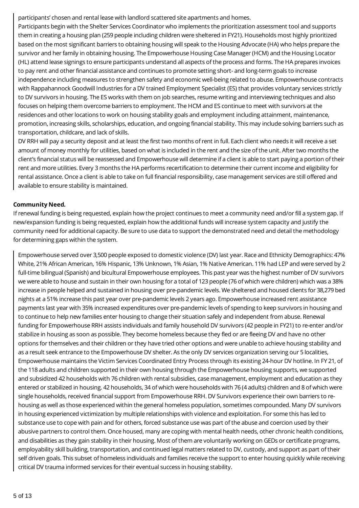participants' chosen and rental lease with landlord scattered site apartments and homes.

Participants begin with the Shelter Services Coordinator who implements the prioritization assessment tool and supports them in creating a housing plan (259 people including children were sheltered in FY21). Households most highly prioritized based on the most significant barriers to obtaining housing will speak to the Housing Advocate (HA) who helps prepare the survivor and her family in obtaining housing. The Empowerhouse Housing Case Manager (HCM) and the Housing Locator (HL) attend lease signings to ensure participants understand all aspects of the process and forms. The HA prepares invoices to pay rent and other financial assistance and continues to promote setting short- and long-term goals to increase independence including measures to strengthen safety and economic well-being related to abuse. Empowerhouse contracts with Rappahannock Goodwill Industries for a DV trained Employment Specialist (ES) that provides voluntary services strictly to DV survivors in housing. The ES works with them on job searches, resume writing and interviewing techniques and also focuses on helping them overcome barriers to employment. The HCM and ES continue to meet with survivors at the residences and other locations to work on housing stability goals and employment including attainment, maintenance, promotion, increasing skills, scholarships, education, and ongoing financial stability. This may include solving barriers such as transportation, childcare, and lack of skills.

DV RRH will pay a security deposit and at least the first two months of rent in full. Each client who needs it will receive a set amount of money monthly for utilities, based on what is included in the rent and the size of the unit. After two months the client's financial status will be reassessed and Empowerhouse will determine if a client is able to start paying a portion of their rent and more utilities. Every 3 months the HA performs recertification to determine their current income and eligibility for rental assistance. Once a client is able to take on full financial responsibility, case management services are still offered and available to ensure stability is maintained.

## **Community Need.**

If renewal funding is being requested, explain how the project continues to meet a community need and/or fill a system gap. If new/expansion funding is being requested, explain how the additional funds will increase system capacity and justify the community need for additional capacity. Be sure to use data to support the demonstrated need and detail the methodology for determining gaps within the system.

Empowerhouse served over 3,500 people exposed to domestic violence (DV) last year. Race and Ethnicity Demographics: 47% White, 21% African American, 16% Hispanic, 13% Unknown, 1% Asian, 1% Native American. 11% had LEP and were served by 2 full-time bilingual (Spanish) and bicultural Empowerhouse employees. This past year was the highest number of DV survivors we were able to house and sustain in their own housing for a total of 123 people (76 of which were children) which was a 38% increase in people helped and sustained in housing over pre-pandemic levels. We sheltered and housed clients for 38,279 bed nights at a 51% increase this past year over pre-pandemic levels 2 years ago. Empowerhouse increased rent assistance payments last year with 35% increased expenditures over pre-pandemic levels of spending to keep survivors in housing and to continue to help new families enter housing to change their situation safely and independent from abuse. Renewal funding for Empowerhouse RRH assists individuals and family household DV survivors (42 people in FY21) to re-enter and/or stabilize in housing as soon as possible. They become homeless because they fled or are fleeing DV and have no other options for themselves and their children or they have tried other options and were unable to achieve housing stability and as a result seek entrance to the Empowerhouse DV shelter. As the only DV services organization serving our 5 localities, Empowerhouse maintains the Victim Services Coordinated Entry Process through its existing 24-hour DV hotline. In FY 21, of the 118 adults and children supported in their own housing through the Empowerhouse housing supports, we supported and subsidized 42 households with 76 children with rental subsidies, case management, employment and education as they entered or stabilized in housing. 42 households, 34 of which were households with 76 (4 adults) children and 8 of which were single households, received financial support from Empowerhouse RRH. DV Survivors experience their own barriers to rehousing as well as those experienced within the general homeless population, sometimes compounded. Many DV survivors in housing experienced victimization by multiple relationships with violence and exploitation. For some this has led to substance use to cope with pain and for others, forced substance use was part of the abuse and coercion used by their abusive partners to control them. Once housed, many are coping with mental health needs, other chronic health conditions, and disabilities as they gain stability in their housing. Most of them are voluntarily working on GEDs or certificate programs, employability skill building, transportation, and continued legal matters related to DV, custody, and support as part of their self driven goals. This subset of homeless individuals and families receive the support to enter housing quickly while receiving critical DV trauma informed services for their eventual success in housing stability.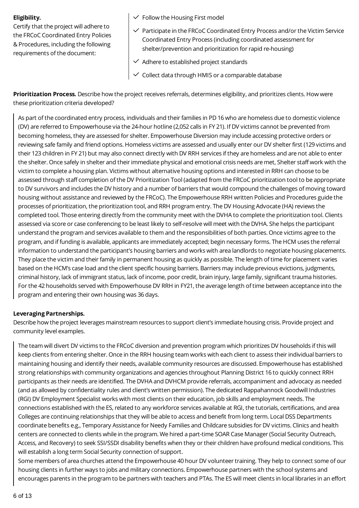#### **Eligibility.**

Certify that the project will adhere to the FRCoC Coordinated Entry Policies & Procedures, including the following requirements of the document:

- $\checkmark$  Follow the Housing First model
- $\checkmark$  Participate in the FRCoC Coordinated Entry Process and/or the Victim Service Coordinated Entry Process (including coordinated assessment for shelter/prevention and prioritization for rapid re-housing)
- $\checkmark$  Adhere to established project standards
- $\checkmark$  Collect data through HMIS or a comparable database

**Prioritization Process.** Describe how the project receives referrals, determines eligibility, and prioritizes clients. How were these prioritization criteria developed?

As part of the coordinated entry process, individuals and their families in PD 16 who are homeless due to domestic violence (DV) are referred to Empowerhouse via the 24-hour hotline (2,052 calls in FY 21). If DV victims cannot be prevented from becoming homeless, they are assessed for shelter. Empowerhouse Diversion may include accessing protective orders or reviewing safe family and friend options. Homeless victims are assessed and usually enter our DV shelter first (129 victims and their 123 children in FY 21) but may also connect directly with DV RRH services if they are homeless and are not able to enter the shelter. Once safely in shelter and their immediate physical and emotional crisis needs are met, Shelter staff work with the victim to complete a housing plan. Victims without alternative housing options and interested in RRH can choose to be assessed through staff completion of the DV Prioritization Tool (adapted from the FRCoC prioritization tool to be appropriate to DV survivors and includes the DV history and a number of barriers that would compound the challenges of moving toward housing without assistance and reviewed by the FRCoC). The Empowerhouse RRH written Policies and Procedures guide the processes of prioritization, the prioritization tool, and RRH program entry. The DV Housing Advocate (HA) reviews the completed tool. Those entering directly from the community meet with the DVHA to complete the prioritization tool. Clients assessed via score or case conferencing to be least likely to self-resolve will meet with the DVHA. She helps the participant understand the program and services available to them and the responsibilities of both parties. Once victims agree to the program, and if funding is available, applicants are immediately accepted; begin necessary forms. The HCM uses the referral information to understand the participant's housing barriers and works with area landlords to negotiate housing placements. They place the victim and their family in permanent housing as quickly as possible. The length of time for placement varies based on the HCM's case load and the client specific housing barriers. Barriers may include previous evictions, judgments, criminal history, lack of immigrant status, lack of income, poor credit, brain injury, large family, significant trauma histories. For the 42 households served with Empowerhouse DV RRH in FY21, the average length of time between acceptance into the program and entering their own housing was 36 days.

#### **Leveraging Partnerships.**

Describe how the project leverages mainstream resources to support client's immediate housing crisis. Provide project and community level examples.

The team will divert DV victims to the FRCoC diversion and prevention program which prioritizes DV households if this will keep clients from entering shelter. Once in the RRH housing team works with each client to assess their individual barriers to maintaining housing and identify their needs, available community resources are discussed. Empowerhouse has established strong relationships with community organizations and agencies throughout Planning District 16 to quickly connect RRH participants as their needs are identified. The DVHA and DVHCM provide referrals, accompaniment and advocacy as needed (and as allowed by confidentiality rules and client's written permission). The dedicated Rappahannock Goodwill Industries (RGI) DV Employment Specialist works with most clients on their education, job skills and employment needs. The connections established with the ES, related to any workforce services available at RGI, the tutorials, certifications, and area Colleges are continuing relationships that they will be able to access and benefit from long term. Local DSS Departments coordinate benefits e.g., Temporary Assistance for Needy Families and Childcare subsidies for DV victims. Clinics and health centers are connected to clients while in the program. We hired a part-time SOAR Case Manager (Social Security Outreach, Access, and Recovery) to seek SSI/SSDI disability benefits when they or their children have profound medical conditions. This will establish a long term Social Security connection of support.

Some members of area churches attend the Empowerhouse 40 hour DV volunteer training. They help to connect some of our housing clients in further ways to jobs and military connections. Empowerhouse partners with the school systems and encourages parents in the program to be partners with teachers and PTAs. The ES will meet clients in local libraries in an effort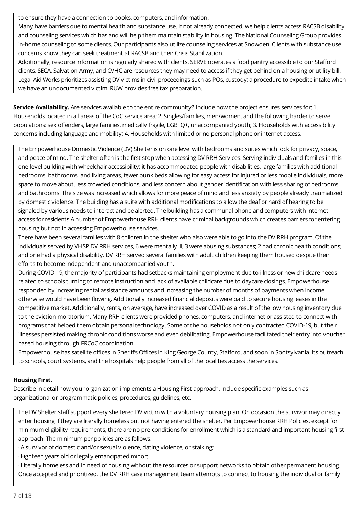to ensure they have a connection to books, computers, and information.

Many have barriers due to mental health and substance use. If not already connected, we help clients access RACSB disability and counseling services which has and will help them maintain stability in housing. The National Counseling Group provides in-home counseling to some clients. Our participants also utilize counseling services at Snowden. Clients with substance use concerns know they can seek treatment at RACSB and their Crisis Stabilization.

Additionally, resource information is regularly shared with clients. SERVE operates a food pantry accessible to our Stafford clients. SECA, Salvation Army, and CVHC are resources they may need to access if they get behind on a housing or utility bill. Legal Aid Works prioritizes assisting DV victims in civil proceedings such as POs, custody; a procedure to expedite intake when we have an undocumented victim. RUW provides free tax preparation.

**Service Availability.** Are services available to the entire community? Include how the project ensures services for: 1. Households located in all areas of the CoC service area; 2. Singles/families, men/women, and the following harder to serve populations: sex offenders, large families, medically fragile, LGBTQ+, unaccompanied youth; 3. Households with accessibility concerns including language and mobility; 4. Households with limited or no personal phone or internet access.

The Empowerhouse Domestic Violence (DV) Shelter is on one level with bedrooms and suites which lock for privacy, space, and peace of mind. The shelter often is the first stop when accessing DV RRH Services. Serving individuals and families in this one-level building with wheelchair accessibility: it has accommodated people with disabilities, large families with additional bedrooms, bathrooms, and living areas, fewer bunk beds allowing for easy access for injured or less mobile individuals, more space to move about, less crowded conditions, and less concern about gender identification with less sharing of bedrooms and bathrooms. The size was increased which allows for more peace of mind and less anxiety by people already traumatized by domestic violence. The building has a suite with additional modifications to allow the deaf or hard of hearing to be signaled by various needs to interact and be alerted. The building has a communal phone and computers with internet access for residents.A number of Empowerhouse RRH clients have criminal backgrounds which creates barriers for entering housing but not in accessing Empowerhouse services.

There have been several families with 8 children in the shelter who also were able to go into the DV RRH program. Of the individuals served by VHSP DV RRH services, 6 were mentally ill; 3 were abusing substances; 2 had chronic health conditions; and one had a physical disability. DV RRH served several families with adult children keeping them housed despite their efforts to become independent and unaccompanied youth.

During COVID-19, the majority of participants had setbacks maintaining employment due to illness or new childcare needs related to schools turning to remote instruction and lack of available childcare due to daycare closings. Empowerhouse responded by increasing rental assistance amounts and increasing the number of months of payments when income otherwise would have been flowing. Additionally increased financial deposits were paid to secure housing leases in the competitive market. Additionally, rents, on average, have increased over COVID as a result of the low housing inventory due to the eviction moratorium. Many RRH clients were provided phones, computers, and internet or assisted to connect with programs that helped them obtain personal technology. Some of the households not only contracted COVID-19, but their illnesses persisted making chronic conditions worse and even debilitating. Empowerhouse facilitated their entry into voucher based housing through FRCoC coordination.

Empowerhouse has satellite offices in Sheriff's Offices in King George County, Stafford, and soon in Spotsylvania. Its outreach to schools, court systems, and the hospitals help people from all of the localities access the services.

# **Housing First.**

Describe in detail how your organization implements a Housing First approach. Include specific examples such as organizational or programmatic policies, procedures, guidelines, etc.

The DV Shelter staff support every sheltered DV victim with a voluntary housing plan. On occasion the survivor may directly enter housing if they are literally homeless but not having entered the shelter. Per Empowerhouse RRH Policies, except for minimum eligibility requirements, there are no pre-conditions for enrollment which is a standard and important housing first approach. The minimum per policies are as follows:

· A survivor of domestic and/or sexual violence, dating violence, or stalking;

· Eighteen years old or legally emancipated minor;

· Literally homeless and in need of housing without the resources or support networks to obtain other permanent housing. Once accepted and prioritized, the DV RRH case management team attempts to connect to housing the individual or family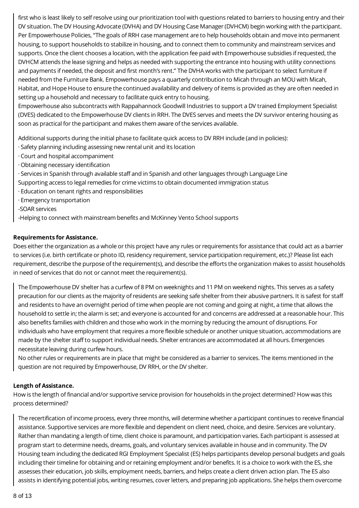first who is least likely to self resolve using our prioritization tool with questions related to barriers to housing entry and their DV situation. The DV Housing Advocate (DVHA) and DV Housing Case Manager (DVHCM) begin working with the participant. Per Empowerhouse Policies, "The goals of RRH case management are to help households obtain and move into permanent housing, to support households to stabilize in housing, and to connect them to community and mainstream services and supports. Once the client chooses a location, with the application fee paid with Empowerhouse subsidies if requested, the DVHCM attends the lease signing and helps as needed with supporting the entrance into housing with utility connections and payments if needed, the deposit and first month's rent." The DVHA works with the participant to select furniture if needed from the Furniture Bank. Empowerhouse pays a quarterly contribution to Micah through an MOU with Micah, Habitat, and Hope House to ensure the continued availability and delivery of items is provided as they are often needed in setting up a household and necessary to facilitate quick entry to housing.

Empowerhouse also subcontracts with Rappahannock Goodwill Industries to support a DV trained Employment Specialist (DVES) dedicated to the Empowerhouse DV clients in RRH. The DVES serves and meets the DV survivor entering housing as soon as practical for the participant and makes them aware of the services available.

Additional supports during the initial phase to facilitate quick access to DV RRH include (and in policies):

- · Safety planning including assessing new rental unit and its location
- · Court and hospital accompaniment
- · Obtaining necessary identification
- · Services in Spanish through available staff and in Spanish and other languages through Language Line Supporting access to legal remedies for crime victims to obtain documented immigration status
- · Education on tenant rights and responsibilities
- · Emergency transportation
- -SOAR services
- -Helping to connect with mainstream benefits and McKinney Vento School supports

## **Requirements for Assistance.**

Does either the organization as a whole or this project have any rules or requirements for assistance that could act as a barrier to services (i.e. birth certificate or photo ID, residency requirement, service participation requirement, etc.)? Please list each requirement, describe the purpose of the requirement(s), and describe the efforts the organization makes to assist households in need of services that do not or cannot meet the requirement(s).

The Empowerhouse DV shelter has a curfew of 8 PM on weeknights and 11 PM on weekend nights. This serves as a safety precaution for our clients as the majority of residents are seeking safe shelter from their abusive partners. It is safest for staff and residents to have an overnight period of time when people are not coming and going at night, a time that allows the household to settle in; the alarm is set; and everyone is accounted for and concerns are addressed at a reasonable hour. This also benefits families with children and those who work in the morning by reducing the amount of disruptions. For individuals who have employment that requires a more flexible schedule or another unique situation, accommodations are made by the shelter staff to support individual needs. Shelter entrances are accommodated at all hours. Emergencies necessitate leaving during curfew hours.

No other rules or requirements are in place that might be considered as a barrier to services. The items mentioned in the question are not required by Empowerhouse, DV RRH, or the DV shelter.

#### **Length of Assistance.**

How is the length of financial and/or supportive service provision for households in the project determined? How was this process determined?

The recertification of income process, every three months, will determine whether a participant continues to receive financial assistance. Supportive services are more flexible and dependent on client need, choice, and desire. Services are voluntary. Rather than mandating a length of time, client choice is paramount, and participation varies. Each participant is assessed at program start to determine needs, dreams, goals, and voluntary services available in house and in community. The DV Housing team including the dedicated RGI Employment Specialist (ES) helps participants develop personal budgets and goals including their timeline for obtaining and or retaining employment and/or benefits. It is a choice to work with the ES, she assesses their education, job skills, employment needs, barriers, and helps create a client driven action plan. The ES also assists in identifying potential jobs, writing resumes, cover letters, and preparing job applications. She helps them overcome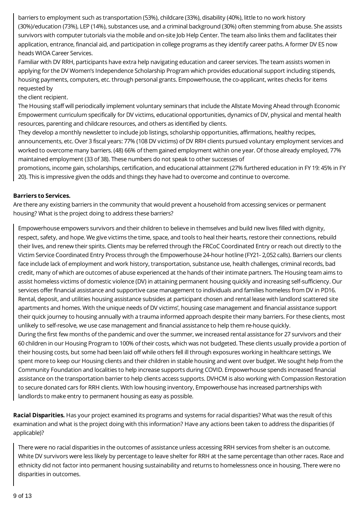barriers to employment such as transportation (53%), childcare (33%), disability (40%), little to no work history (30%)/education (73%), LEP (14%), substances use, and a criminal background (30%) often stemming from abuse. She assists survivors with computer tutorials via the mobile and on-site Job Help Center. The team also links them and facilitates their application, entrance, financial aid, and participation in college programs as they identify career paths. A former DV ES now heads WIOA Career Services.

Familiar with DV RRH, participants have extra help navigating education and career services. The team assists women in applying for the DV Women's Independence Scholarship Program which provides educational support including stipends, housing payments, computers, etc. through personal grants. Empowerhouse, the co-applicant, writes checks for items requested by

#### the client recipient.

The Housing staff will periodically implement voluntary seminars that include the Allstate Moving Ahead through Economic Empowerment curriculum specifically for DV victims, educational opportunities, dynamics of DV, physical and mental health resources, parenting and childcare resources, and others as identified by clients.

They develop a monthly newsletter to include job listings, scholarship opportunities, affirmations, healthy recipes, announcements, etc. Over 3 fiscal years: 77% (108 DV victims) of DV RRH clients pursued voluntary employment services and worked to overcome many barriers. (48) 66% of them gained employment within one year. Of those already employed, 77% maintained employment (33 of 38). These numbers do not speak to other successes of

promotions, income gain, scholarships, certification, and educational attainment (27% furthered education in FY 19: 45% in FY 20). This is impressive given the odds and things they have had to overcome and continue to overcome.

#### **Barriers to Services.**

Are there any existing barriers in the community that would prevent a household from accessing services or permanent housing? What is the project doing to address these barriers?

Empowerhouse empowers survivors and their children to believe in themselves and build new lives filled with dignity, respect, safety, and hope. We give victims the time, space, and tools to heal their hearts, restore their connections, rebuild their lives, and renew their spirits. Clients may be referred through the FRCoC Coordinated Entry or reach out directly to the Victim Service Coordinated Entry Process through the Empowerhouse 24-hour hotline (FY21- 2,052 calls). Barriers our clients face include lack of employment and work history, transportation, substance use, health challenges, criminal records, bad credit, many of which are outcomes of abuse experienced at the hands of their intimate partners. The Housing team aims to assist homeless victims of domestic violence (DV) in attaining permanent housing quickly and increasing self-sufficiency. Our services offer financial assistance and supportive case management to individuals and families homeless from DV in PD16. Rental, deposit, and utilities housing assistance subsides at participant chosen and rental lease with landlord scattered site apartments and homes. With the unique needs of DV victims', housing case management and financial assistance support their quick journey to housing annually with a trauma informed approach despite their many barriers. For these clients, most unlikely to self-resolve, we use case management and financial assistance to help them re-house quickly. During the first few months of the pandemic and over the summer, we increased rental assistance for 27 survivors and their 60 children in our Housing Program to 100% of their costs, which was not budgeted. These clients usually provide a portion of their housing costs, but some had been laid off while others fell ill through exposures working in healthcare settings. We spent more to keep our Housing clients and their children in stable housing and went over budget. We sought help from the Community Foundation and localities to help increase supports during COVID. Empowerhouse spends increased financial

assistance on the transportation barrier to help clients access supports. DVHCM is also working with Compassion Restoration to secure donated cars for RRH clients. With low housing inventory, Empowerhouse has increased partnerships with landlords to make entry to permanent housing as easy as possible.

**Racial Disparities.** Has your project examined its programs and systems for racial disparities? What was the result of this examination and what is the project doing with this information? Have any actions been taken to address the disparities (if applicable)?

There were no racial disparities in the outcomes of assistance unless accessing RRH services from shelter is an outcome. White DV survivors were less likely by percentage to leave shelter for RRH at the same percentage than other races. Race and ethnicity did not factor into permanent housing sustainability and returns to homelessness once in housing. There were no disparities in outcomes.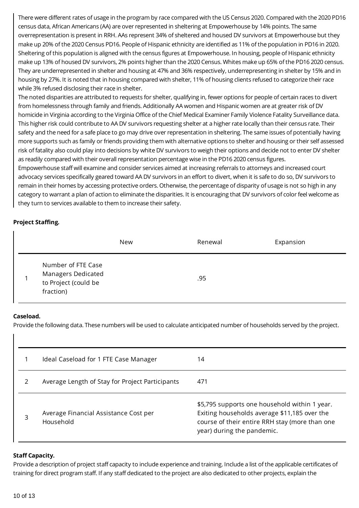There were different rates of usage in the program by race compared with the US Census 2020. Compared with the 2020 PD16 census data, African Americans (AA) are over represented in sheltering at Empowerhouse by 14% points. The same overrepresentation is present in RRH. AAs represent 34% of sheltered and housed DV survivors at Empowerhouse but they make up 20% of the 2020 Census PD16. People of Hispanic ethnicity are identified as 11% of the population in PD16 in 2020. Sheltering of this population is aligned with the census figures at Empowerhouse. In housing, people of Hispanic ethnicity make up 13% of housed DV survivors, 2% points higher than the 2020 Census. Whites make up 65% of the PD16 2020 census. They are underrepresented in shelter and housing at 47% and 36% respectively, underrepresenting in shelter by 15% and in housing by 27%. It is noted that in housing compared with shelter, 11% of housing clients refused to categorize their race while 3% refused disclosing their race in shelter.

The noted disparities are attributed to requests for shelter, qualifying in, fewer options for people of certain races to divert from homelessness through family and friends. Additionally AA women and Hispanic women are at greater risk of DV homicide in Virginia according to the Virginia Office of the Chief Medical Examiner Family Violence Fatality Surveillance data. This higher risk could contribute to AA DV survivors requesting shelter at a higher rate locally than their census rate. Their safety and the need for a safe place to go may drive over representation in sheltering. The same issues of potentially having more supports such as family or friends providing them with alternative options to shelter and housing or their self assessed risk of fatality also could play into decisions by white DV survivors to weigh their options and decide not to enter DV shelter as readily compared with their overall representation percentage wise in the PD16 2020 census figures.

Empowerhouse staff will examine and consider services aimed at increasing referrals to attorneys and increased court advocacy services specifically geared toward AA DV survivors in an effort to divert, when it is safe to do so, DV survivors to remain in their homes by accessing protective orders. Otherwise, the percentage of disparity of usage is not so high in any category to warrant a plan of action to eliminate the disparities. It is encouraging that DV survivors of color feel welcome as they turn to services available to them to increase their safety.

# **Project Staffing.**

|                                                                               | New | Renewal | Expansion |
|-------------------------------------------------------------------------------|-----|---------|-----------|
| Number of FTE Case<br>Managers Dedicated<br>to Project (could be<br>fraction) |     | .95     |           |

#### **Caseload.**

Provide the following data. These numbers will be used to calculate anticipated number of households served by the project.

|   | Ideal Caseload for 1 FTE Case Manager              | 14                                                                                                                                                                            |
|---|----------------------------------------------------|-------------------------------------------------------------------------------------------------------------------------------------------------------------------------------|
| 2 | Average Length of Stay for Project Participants    | 471                                                                                                                                                                           |
| 3 | Average Financial Assistance Cost per<br>Household | \$5,795 supports one household within 1 year.<br>Exiting households average \$11,185 over the<br>course of their entire RRH stay (more than one<br>year) during the pandemic. |

#### **Staff Capacity.**

Provide a description of project staff capacity to include experience and training. Include a list of the applicable certificates of training for direct program staff. If any staff dedicated to the project are also dedicated to other projects, explain the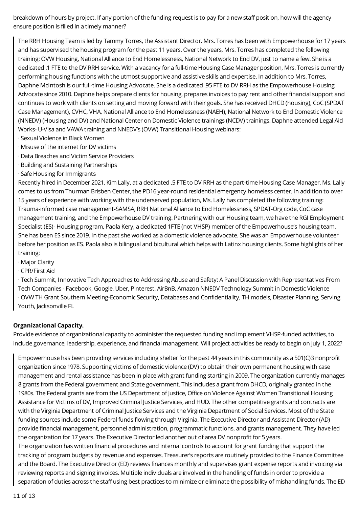breakdown of hours by project. If any portion of the funding request is to pay for a new staff position, how will the agency ensure position is filled in a timely manner?

The RRH Housing Team is led by Tammy Torres, the Assistant Director. Mrs. Torres has been with Empowerhouse for 17 years and has supervised the housing program for the past 11 years. Over the years, Mrs. Torres has completed the following training: OVW Housing, National Alliance to End Homelessness, National Network to End DV, just to name a few. She is a dedicated .1 FTE to the DV RRH service. With a vacancy for a full-time Housing Case Manager position, Mrs. Torres is currently performing housing functions with the utmost supportive and assistive skills and expertise. In addition to Mrs. Torres, Daphne McIntosh is our full-time Housing Advocate. She is a dedicated .95 FTE to DV RRH as the Empowerhouse Housing Advocate since 2010. Daphne helps prepare clients for housing, prepares invoices to pay rent and other financial support and continues to work with clients on setting and moving forward with their goals. She has received DHCD (housing), CoC (SPDAT Case Management), CVHC, VHA, National Alliance to End Homelessness (NAEH), National Network to End Domestic Violence (NNEDV) (Housing and DV) and National Center on Domestic Violence trainings (NCDV) trainings. Daphne attended Legal Aid Works- U-Visa and VAWA training and NNEDV's (OVW) Transitional Housing webinars:

- · Sexual Violence in Black Women
- · Misuse of the internet for DV victims
- · Data Breaches and Victim Service Providers
- · Building and Sustaining Partnerships
- · Safe Housing for Immigrants

Recently hired in December 2021, Kim Lally, at a dedicated .5 FTE to DV RRH as the part-time Housing Case Manager. Ms. Lally comes to us from Thurman Brisben Center, the PD16 year-round residential emergency homeless center. In addition to over 15 years of experience with working with the underserved population, Ms. Lally has completed the following training: Trauma-informed case management-SAMSA, RRH National Alliance to End Homelessness, SPDAT-Org code, CoC case management training, and the Empowerhouse DV training. Partnering with our Housing team, we have the RGI Employment Specialist (ES)- Housing program, Paola Kery, a dedicated 1FTE (not VHSP) member of the Empowerhouse's housing team. She has been ES since 2019. In the past she worked as a domestic violence advocate. She was an Empowerhouse volunteer before her position as ES. Paola also is bilingual and bicultural which helps with Latinx housing clients. Some highlights of her training:

- · Major Clarity
- · CPR/First Aid

· Tech Summit, Innovative Tech Approaches to Addressing Abuse and Safety: A Panel Discussion with Representatives From Tech Companies - Facebook, Google, Uber, Pinterest, AirBnB, Amazon NNEDV Technology Summit in Domestic Violence · OVW TH Grant Southern Meeting-Economic Security, Databases and Confidentiality, TH models, Disaster Planning, Serving Youth, Jacksonville FL

# **Organizational Capacity.**

Provide evidence of organizational capacity to administer the requested funding and implement VHSP-funded activities, to include governance, leadership, experience, and financial management. Will project activities be ready to begin on July 1, 2022?

Empowerhouse has been providing services including shelter for the past 44 years in this community as a 501(C)3 nonprofit organization since 1978. Supporting victims of domestic violence (DV) to obtain their own permanent housing with case management and rental assistance has been in place with grant funding starting in 2009. The organization currently manages 8 grants from the Federal government and State government. This includes a grant from DHCD, originally granted in the 1980s. The Federal grants are from the US Department of Justice, Office on Violence Against Women Transitional Housing Assistance for Victims of DV, Improved Criminal Justice Services, and HUD. The other competitive grants and contracts are with the Virginia Department of Criminal Justice Services and the Virginia Department of Social Services. Most of the State funding sources include some Federal funds flowing through Virginia. The Executive Director and Assistant Director (AD) provide financial management, personnel administration, programmatic functions, and grants management. They have led the organization for 17 years. The Executive Director led another out of area DV nonprofit for 5 years. The organization has written financial procedures and internal controls to account for grant funding that support the

tracking of program budgets by revenue and expenses. Treasurer's reports are routinely provided to the Finance Committee and the Board. The Executive Director (ED) reviews finances monthly and supervises grant expense reports and invoicing via reviewing reports and signing invoices. Multiple individuals are involved in the handling of funds in order to provide a separation of duties across the staff using best practices to minimize or eliminate the possibility of mishandling funds. The ED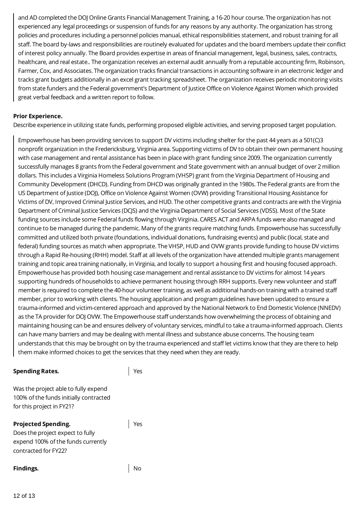and AD completed the DOJ Online Grants Financial Management Training, a 16-20 hour course. The organization has not experienced any legal proceedings or suspension of funds for any reasons by any authority. The organization has strong policies and procedures including a personnel policies manual, ethical responsibilities statement, and robust training for all staff. The board by-laws and responsibilities are routinely evaluated for updates and the board members update their conflict of interest policy annually. The Board provides expertise in areas of financial management, legal, business, sales, contracts, healthcare, and real estate.. The organization receives an external audit annually from a reputable accounting firm, Robinson, Farmer, Cox, and Associates. The organization tracks financial transactions in accounting software in an electronic ledger and tracks grant budgets additionally in an excel grant tracking spreadsheet. The organization receives periodic monitoring visits from state funders and the Federal government's Department of Justice Office on Violence Against Women which provided great verbal feedback and a written report to follow.

#### **Prior Experience.**

Describe experience in utilizing state funds, performing proposed eligible activities, and serving proposed target population.

Empowerhouse has been providing services to support DV victims including shelter for the past 44 years as a 501(C)3 nonprofit organization in the Fredericksburg, Virginia area. Supporting victims of DV to obtain their own permanent housing with case management and rental assistance has been in place with grant funding since 2009. The organization currently successfully manages 8 grants from the Federal government and State government with an annual budget of over 2 million dollars. This includes a Virginia Homeless Solutions Program (VHSP) grant from the Virginia Department of Housing and Community Development (DHCD). Funding from DHCD was originally granted in the 1980s. The Federal grants are from the US Department of Justice (DOJ), Office on Violence Against Women (OVW) providing Transitional Housing Assistance for Victims of DV, Improved Criminal Justice Services, and HUD. The other competitive grants and contracts are with the Virginia Department of Criminal Justice Services (DCJS) and the Virginia Department of Social Services (VDSS). Most of the State funding sources include some Federal funds flowing through Virginia. CARES ACT and ARPA funds were also managed and continue to be managed during the pandemic. Many of the grants require matching funds. Empowerhouse has successfully committed and utilized both private (foundations, individual donations, fundraising events) and public (local, state and federal) funding sources as match when appropriate. The VHSP, HUD and OVW grants provide funding to house DV victims through a Rapid Re-housing (RHH) model. Staff at all levels of the organization have attended multiple grants management training and topic area training nationally, in Virginia, and locally to support a housing first and housing focused approach. Empowerhouse has provided both housing case management and rental assistance to DV victims for almost 14 years supporting hundreds of households to achieve permanent housing through RRH supports. Every new volunteer and staff member is required to complete the 40-hour volunteer training, as well as additional hands-on training with a trained staff member, prior to working with clients. The housing application and program guidelines have been updated to ensure a trauma-informed and victim-centered approach and approved by the National Network to End Domestic Violence (NNEDV) as the TA provider for DOJ OVW. The Empowerhouse staff understands how overwhelming the process of obtaining and maintaining housing can be and ensures delivery of voluntary services, mindful to take a trauma-informed approach. Clients can have many barriers and may be dealing with mental illness and substance abuse concerns. The housing team understands that this may be brought on by the trauma experienced and staff let victims know that they are there to help them make informed choices to get the services that they need when they are ready.

#### **Spending Rates.**

Yes

Was the project able to fully expend 100% of the funds initially contracted for this project in FY21?

#### **Projected Spending.**

Does the project expect to fully expend 100% of the funds currently contracted for FY22?

#### **Findings.** No

Yes